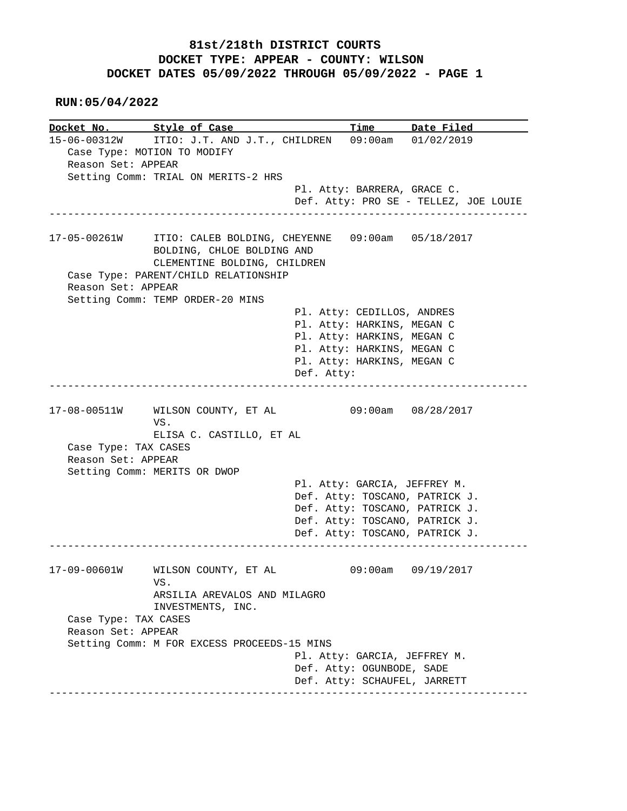**RUN:05/04/2022**

**Docket No. Style of Case Time Date Filed** 15-06-00312W ITIO: J.T. AND J.T., CHILDREN 09:00am 01/02/2019 15-06-00312W ITIO: J.T. AND J.T., CHILDREN 09:00am 01/02/2019 Case Type: MOTION TO MODIFY Reason Set: APPEAR Setting Comm: TRIAL ON MERITS-2 HRS Pl. Atty: BARRERA, GRACE C. Def. Atty: PRO SE - TELLEZ, JOE LOUIE ------------------------------------------------------------------------------ 17-05-00261W ITIO: CALEB BOLDING, CHEYENNE 09:00am 05/18/2017 BOLDING, CHLOE BOLDING AND CLEMENTINE BOLDING, CHILDREN Case Type: PARENT/CHILD RELATIONSHIP Reason Set: APPEAR Setting Comm: TEMP ORDER-20 MINS Pl. Atty: CEDILLOS, ANDRES Pl. Atty: HARKINS, MEGAN C Pl. Atty: HARKINS, MEGAN C Pl. Atty: HARKINS, MEGAN C Pl. Atty: HARKINS, MEGAN C Def. Atty: ------------------------------------------------------------------------------ 17-08-00511W WILSON COUNTY, ET AL 09:00am 08/28/2017 VS. ELISA C. CASTILLO, ET AL Case Type: TAX CASES Reason Set: APPEAR Setting Comm: MERITS OR DWOP Pl. Atty: GARCIA, JEFFREY M. Def. Atty: TOSCANO, PATRICK J. Def. Atty: TOSCANO, PATRICK J. Def. Atty: TOSCANO, PATRICK J. Def. Atty: TOSCANO, PATRICK J. ------------------------------------------------------------------------------ 17-09-00601W WILSON COUNTY, ET AL 09:00am 09/19/2017 VS. ARSILIA AREVALOS AND MILAGRO INVESTMENTS, INC. Case Type: TAX CASES Reason Set: APPEAR Setting Comm: M FOR EXCESS PROCEEDS-15 MINS Pl. Atty: GARCIA, JEFFREY M. Def. Atty: OGUNBODE, SADE Def. Atty: SCHAUFEL, JARRETT ------------------------------------------------------------------------------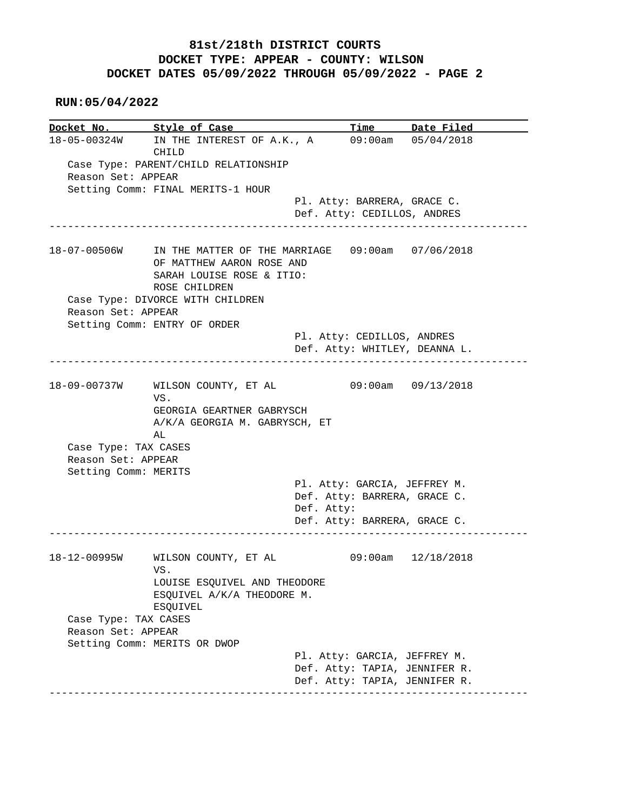### **RUN:05/04/2022**

**Docket No. Style of Case Time Date Filed** 18-05-00324W IN THE INTEREST OF A.K., A 09:00am 05/04/2018 CHILD Case Type: PARENT/CHILD RELATIONSHIP Reason Set: APPEAR Setting Comm: FINAL MERITS-1 HOUR Pl. Atty: BARRERA, GRACE C. Def. Atty: CEDILLOS, ANDRES ------------------------------------------------------------------------------ 18-07-00506W IN THE MATTER OF THE MARRIAGE 09:00am 07/06/2018 OF MATTHEW AARON ROSE AND SARAH LOUISE ROSE & ITIO: ROSE CHILDREN Case Type: DIVORCE WITH CHILDREN Reason Set: APPEAR Setting Comm: ENTRY OF ORDER Pl. Atty: CEDILLOS, ANDRES Def. Atty: WHITLEY, DEANNA L. ------------------------------------------------------------------------------ 18-09-00737W WILSON COUNTY, ET AL 09:00am 09/13/2018 VS. GEORGIA GEARTNER GABRYSCH A/K/A GEORGIA M. GABRYSCH, ET AL Case Type: TAX CASES Reason Set: APPEAR Setting Comm: MERITS Pl. Atty: GARCIA, JEFFREY M. Def. Atty: BARRERA, GRACE C. Def. Atty: Def. Atty: BARRERA, GRACE C. ------------------------------------------------------------------------------ 18-12-00995W WILSON COUNTY, ET AL 09:00am 12/18/2018 VS. LOUISE ESQUIVEL AND THEODORE ESQUIVEL A/K/A THEODORE M. ESQUIVEL Case Type: TAX CASES Reason Set: APPEAR Setting Comm: MERITS OR DWOP Pl. Atty: GARCIA, JEFFREY M. Def. Atty: TAPIA, JENNIFER R. Def. Atty: TAPIA, JENNIFER R. ------------------------------------------------------------------------------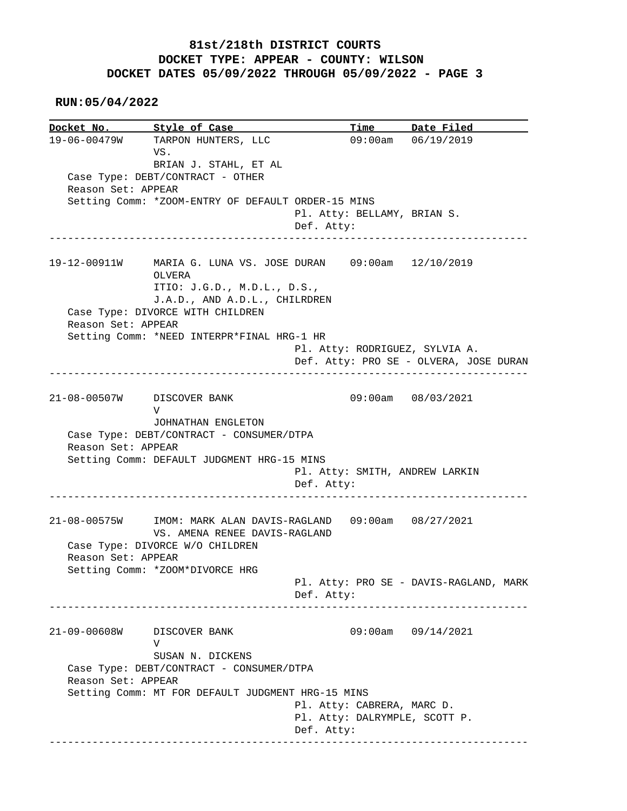**RUN:05/04/2022**

**Docket No. Style of Case Time Date Filed**  19-06-00479W TARPON HUNTERS, LLC 09:00am 06/19/2019 VS. BRIAN J. STAHL, ET AL Case Type: DEBT/CONTRACT - OTHER Reason Set: APPEAR Setting Comm: \*ZOOM-ENTRY OF DEFAULT ORDER-15 MINS Pl. Atty: BELLAMY, BRIAN S. Def. Atty: ------------------------------------------------------------------------------ 19-12-00911W MARIA G. LUNA VS. JOSE DURAN 09:00am 12/10/2019 OLVERA ITIO: J.G.D., M.D.L., D.S., J.A.D., AND A.D.L., CHILRDREN Case Type: DIVORCE WITH CHILDREN Reason Set: APPEAR Setting Comm: \*NEED INTERPR\*FINAL HRG-1 HR Pl. Atty: RODRIGUEZ, SYLVIA A. Def. Atty: PRO SE - OLVERA, JOSE DURAN ------------------------------------------------------------------------------ 21-08-00507W DISCOVER BANK 09:00am 08/03/2021 V JOHNATHAN ENGLETON Case Type: DEBT/CONTRACT - CONSUMER/DTPA Reason Set: APPEAR Setting Comm: DEFAULT JUDGMENT HRG-15 MINS Pl. Atty: SMITH, ANDREW LARKIN Def. Atty: ------------------------------------------------------------------------------ 21-08-00575W IMOM: MARK ALAN DAVIS-RAGLAND 09:00am 08/27/2021 VS. AMENA RENEE DAVIS-RAGLAND Case Type: DIVORCE W/O CHILDREN Reason Set: APPEAR Setting Comm: \*ZOOM\*DIVORCE HRG Pl. Atty: PRO SE - DAVIS-RAGLAND, MARK Def. Atty: ------------------------------------------------------------------------------ 21-09-00608W DISCOVER BANK 09:00am 09/14/2021 V SUSAN N. DICKENS Case Type: DEBT/CONTRACT - CONSUMER/DTPA Reason Set: APPEAR Setting Comm: MT FOR DEFAULT JUDGMENT HRG-15 MINS Pl. Atty: CABRERA, MARC D. Pl. Atty: DALRYMPLE, SCOTT P. Def. Atty: ------------------------------------------------------------------------------